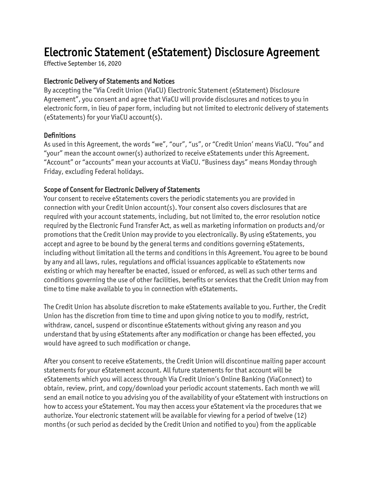# Electronic Statement (eStatement) Disclosure Agreement

Effective September 16, 2020

#### Electronic Delivery of Statements and Notices

By accepting the "Via Credit Union (ViaCU) Electronic Statement (eStatement) Disclosure Agreement", you consent and agree that ViaCU will provide disclosures and notices to you in electronic form, in lieu of paper form, including but not limited to electronic delivery of statements (eStatements) for your ViaCU account(s).

#### **Definitions**

As used in this Agreement, the words "we", "our", "us", or "Credit Union' means ViaCU. "You" and "your" mean the account owner(s) authorized to receive eStatements under this Agreement. "Account" or "accounts" mean your accounts at ViaCU. "Business days" means Monday through Friday, excluding Federal holidays.

#### Scope of Consent for Electronic Delivery of Statements

Your consent to receive eStatements covers the periodic statements you are provided in connection with your Credit Union account(s). Your consent also covers disclosures that are required with your account statements, including, but not limited to, the error resolution notice required by the Electronic Fund Transfer Act, as well as marketing information on products and/or promotions that the Credit Union may provide to you electronically. By using eStatements, you accept and agree to be bound by the general terms and conditions governing eStatements, including without limitation all the terms and conditions in this Agreement. You agree to be bound by any and all laws, rules, regulations and official issuances applicable to eStatements now existing or which may hereafter be enacted, issued or enforced, as well as such other terms and conditions governing the use of other facilities, benefits or services that the Credit Union may from time to time make available to you in connection with eStatements.

The Credit Union has absolute discretion to make eStatements available to you. Further, the Credit Union has the discretion from time to time and upon giving notice to you to modify, restrict, withdraw, cancel, suspend or discontinue eStatements without giving any reason and you understand that by using eStatements after any modification or change has been effected, you would have agreed to such modification or change.

After you consent to receive eStatements, the Credit Union will discontinue mailing paper account statements for your eStatement account. All future statements for that account will be eStatements which you will access through Via Credit Union's Online Banking (ViaConnect) to obtain, review, print, and copy/download your periodic account statements. Each month we will send an email notice to you advising you of the availability of your eStatement with instructions on how to access your eStatement. You may then access your eStatement via the procedures that we authorize. Your electronic statement will be available for viewing for a period of twelve (12) months (or such period as decided by the Credit Union and notified to you) from the applicable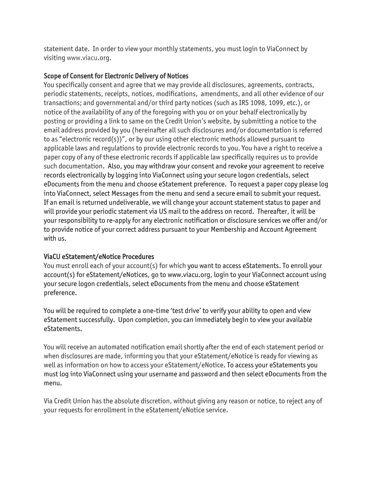statement date. In order to view your monthly statements, you must login to ViaConnect by visiting www.viacu.org.

#### Scope of Consent for Electronic Delivery of Notices

You specifically consent and agree that we may provide all disclosures, agreements, contracts, periodic statements, receipts, notices, modifications, amendments, and all other evidence of our transactions; and governmental and/or third party notices (such as IRS 1098, 1099, etc.), or notice of the availability of any of the foregoing with you or on your behalf electronically by posting or providing a link to same on the Credit Union's website, by submitting a notice to the email address provided by you (hereinafter all such disclosures and/or documentation is referred to as "electronic record(s))", or by our using other electronic methods allowed pursuant to applicable laws and regulations to provide electronic records to you. You have a right to receive a paper copy of any of these electronic records if applicable law specifically requires us to provide such documentation. Also, you may withdraw your consent and revoke your agreement to receive records electronically by logging into ViaConnect using your secure logon credentials, select eDocuments from the menu and choose eStatement preference. To request a paper copy please log into ViaConnect, select Messages from the menu and send a secure email to submit your request. If an email is returned undeliverable, we will change your account statement status to paper and will provide your periodic statement via US mail to the address on record. Thereafter, it will be your responsibility to re-apply for any electronic notification or disclosure services we offer and/or to provide notice of your correct address pursuant to your Membership and Account Agreement with us.

#### ViaCU eStatement/eNotice Procedures

You must enroll each of your account(s) for which you want to access eStatements. To enroll your account(s) for eStatement/eNotices, go to www.viacu.org, login to your ViaConnect account using your secure logon credentials, select eDocuments from the menu and choose eStatement preference.

You will be required to complete a one-time 'test drive' to verify your ability to open and view eStatement successfully. Upon completion, you can immediately begin to view your available eStatements.

You will receive an automated notification email shortly after the end of each statement period or when disclosures are made, informing you that your eStatement/eNotice is ready for viewing as well as information on how to access your eStatement/eNotice. To access your eStatements you must log into ViaConnect using your username and password and then select eDocuments from the menu.

Via Credit Union has the absolute discretion, without giving any reason or notice, to reject any of your requests for enrollment in the eStatement/eNotice service.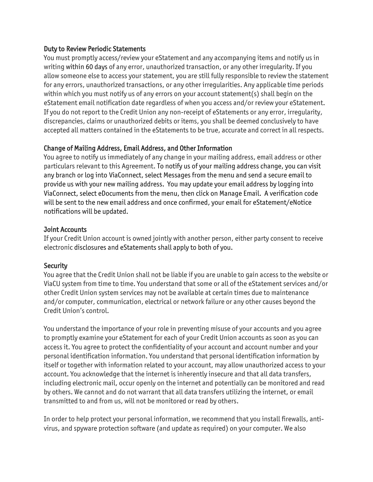#### Duty to Review Periodic Statements

You must promptly access/review your eStatement and any accompanying items and notify us in writing within 60 days of any error, unauthorized transaction, or any other irregularity. If you allow someone else to access your statement, you are still fully responsible to review the statement for any errors, unauthorized transactions, or any other irregularities. Any applicable time periods within which you must notify us of any errors on your account statement(s) shall begin on the eStatement email notification date regardless of when you access and/or review your eStatement. If you do not report to the Credit Union any non-receipt of eStatements or any error, irregularity, discrepancies, claims or unauthorized debits or items, you shall be deemed conclusively to have accepted all matters contained in the eStatements to be true, accurate and correct in all respects.

## Change of Mailing Address, Email Address, and Other Information

You agree to notify us immediately of any change in your mailing address, email address or other particulars relevant to this Agreement. To notify us of your mailing address change, you can visit any branch or log into ViaConnect, select Messages from the menu and send a secure email to provide us with your new mailing address. You may update your email address by logging into ViaConnect, select eDocuments from the menu, then click on Manage Email. A verification code will be sent to the new email address and once confirmed, your email for eStatement/eNotice notifications will be updated.

## Joint Accounts

If your Credit Union account is owned jointly with another person, either party consent to receive electronic disclosures and eStatements shall apply to both of you.

## **Security**

You agree that the Credit Union shall not be liable if you are unable to gain access to the website or ViaCU system from time to time. You understand that some or all of the eStatement services and/or other Credit Union system services may not be available at certain times due to maintenance and/or computer, communication, electrical or network failure or any other causes beyond the Credit Union's control.

You understand the importance of your role in preventing misuse of your accounts and you agree to promptly examine your eStatement for each of your Credit Union accounts as soon as you can access it. You agree to protect the confidentiality of your account and account number and your personal identification information. You understand that personal identification information by itself or together with information related to your account, may allow unauthorized access to your account. You acknowledge that the internet is inherently insecure and that all data transfers, including electronic mail, occur openly on the internet and potentially can be monitored and read by others. We cannot and do not warrant that all data transfers utilizing the internet, or email transmitted to and from us, will not be monitored or read by others.

In order to help protect your personal information, we recommend that you install firewalls, antivirus, and spyware protection software (and update as required) on your computer. We also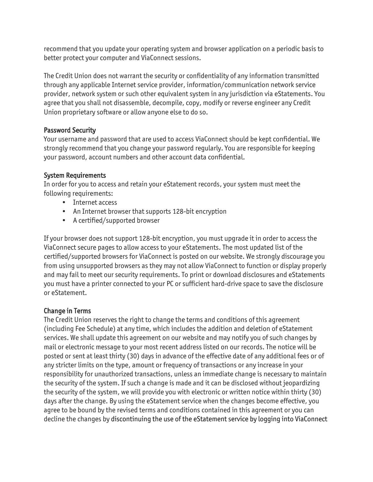recommend that you update your operating system and browser application on a periodic basis to better protect your computer and ViaConnect sessions.

The Credit Union does not warrant the security or confidentiality of any information transmitted through any applicable Internet service provider, information/communication network service provider, network system or such other equivalent system in any jurisdiction via eStatements. You agree that you shall not disassemble, decompile, copy, modify or reverse engineer any Credit Union proprietary software or allow anyone else to do so.

## Password Security

Your username and password that are used to access ViaConnect should be kept confidential. We strongly recommend that you change your password regularly. You are responsible for keeping your password, account numbers and other account data confidential.

## System Requirements

In order for you to access and retain your eStatement records, your system must meet the following requirements:

- Internet access
- An Internet browser that supports 128-bit encryption
- A certified/supported browser

If your browser does not support 128-bit encryption, you must upgrade it in order to access the ViaConnect secure pages to allow access to your eStatements. The most updated list of the certified/supported browsers for ViaConnect is posted on our website. We strongly discourage you from using unsupported browsers as they may not allow ViaConnect to function or display properly and may fail to meet our security requirements. To print or download disclosures and eStatements you must have a printer connected to your PC or sufficient hard-drive space to save the disclosure or eStatement.

# Change in Terms

The Credit Union reserves the right to change the terms and conditions of this agreement (including Fee Schedule) at any time, which includes the addition and deletion of eStatement services. We shall update this agreement on our website and may notify you of such changes by mail or electronic message to your most recent address listed on our records. The notice will be posted or sent at least thirty (30) days in advance of the effective date of any additional fees or of any stricter limits on the type, amount or frequency of transactions or any increase in your responsibility for unauthorized transactions, unless an immediate change is necessary to maintain the security of the system. If such a change is made and it can be disclosed without jeopardizing the security of the system, we will provide you with electronic or written notice within thirty (30) days after the change. By using the eStatement service when the changes become effective, you agree to be bound by the revised terms and conditions contained in this agreement or you can decline the changes by discontinuing the use of the eStatement service by logging into ViaConnect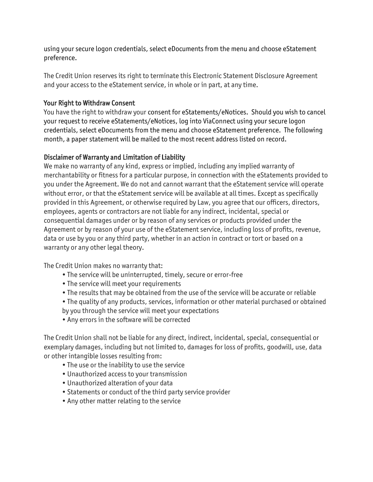using your secure logon credentials, select eDocuments from the menu and choose eStatement preference.

The Credit Union reserves its right to terminate this Electronic Statement Disclosure Agreement and your access to the eStatement service, in whole or in part, at any time.

## Your Right to Withdraw Consent

You have the right to withdraw your consent for eStatements/eNotices. Should you wish to cancel your request to receive eStatements/eNotices, log into ViaConnect using your secure logon credentials, select eDocuments from the menu and choose eStatement preference. The following month, a paper statement will be mailed to the most recent address listed on record.

# Disclaimer of Warranty and Limitation of Liability

We make no warranty of any kind, express or implied, including any implied warranty of merchantability or fitness for a particular purpose, in connection with the eStatements provided to you under the Agreement. We do not and cannot warrant that the eStatement service will operate without error, or that the eStatement service will be available at all times. Except as specifically provided in this Agreement, or otherwise required by Law, you agree that our officers, directors, employees, agents or contractors are not liable for any indirect, incidental, special or consequential damages under or by reason of any services or products provided under the Agreement or by reason of your use of the eStatement service, including loss of profits, revenue, data or use by you or any third party, whether in an action in contract or tort or based on a warranty or any other legal theory.

The Credit Union makes no warranty that:

- The service will be uninterrupted, timely, secure or error-free
- The service will meet your requirements
- The results that may be obtained from the use of the service will be accurate or reliable
- The quality of any products, services, information or other material purchased or obtained
- by you through the service will meet your expectations
- Any errors in the software will be corrected

The Credit Union shall not be liable for any direct, indirect, incidental, special, consequential or exemplary damages, including but not limited to, damages for loss of profits, goodwill, use, data or other intangible losses resulting from:

- The use or the inability to use the service
- Unauthorized access to your transmission
- Unauthorized alteration of your data
- Statements or conduct of the third party service provider
- Any other matter relating to the service